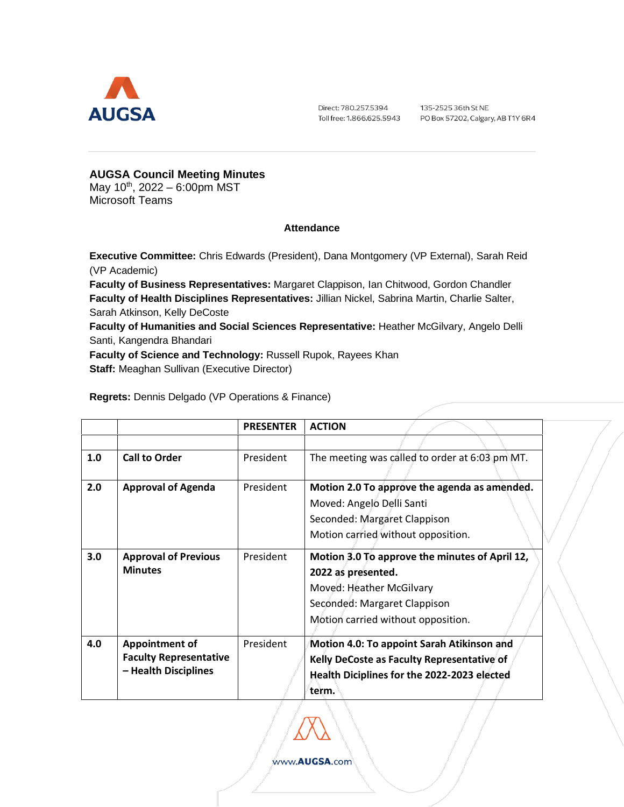

Direct: 780.257.5394 Toll free: 1.866.625.5943

135-2525 36th St NE PO Box 57202, Calgary, AB T1Y 6R4

## **AUGSA Council Meeting Minutes**

May 10<sup>th</sup>, 2022 – 6:00pm MST Microsoft Teams

## **Attendance**

**Executive Committee:** Chris Edwards (President), Dana Montgomery (VP External), Sarah Reid (VP Academic)

**Faculty of Business Representatives:** Margaret Clappison, Ian Chitwood, Gordon Chandler **Faculty of Health Disciplines Representatives:** Jillian Nickel, Sabrina Martin, Charlie Salter, Sarah Atkinson, Kelly DeCoste

**Faculty of Humanities and Social Sciences Representative:** Heather McGilvary, Angelo Delli Santi, Kangendra Bhandari

**Faculty of Science and Technology:** Russell Rupok, Rayees Khan **Staff:** Meaghan Sullivan (Executive Director)

|  | <b>Regrets:</b> Dennis Delgado (VP Operations & Finance) |
|--|----------------------------------------------------------|
|--|----------------------------------------------------------|

|     |                                                                                | <b>PRESENTER</b> | <b>ACTION</b>                                                                                                                                                          |  |
|-----|--------------------------------------------------------------------------------|------------------|------------------------------------------------------------------------------------------------------------------------------------------------------------------------|--|
|     |                                                                                |                  |                                                                                                                                                                        |  |
| 1.0 | <b>Call to Order</b>                                                           | President        | The meeting was called to order at 6:03 pm MT.                                                                                                                         |  |
| 2.0 | <b>Approval of Agenda</b>                                                      | President        | Motion 2.0 To approve the agenda as amended.<br>Moved: Angelo Delli Santi<br>Seconded: Margaret Clappison<br>Motion carried without opposition.                        |  |
| 3.0 | <b>Approval of Previous</b><br><b>Minutes</b>                                  | President        | Motion 3.0 To approve the minutes of April 12,<br>2022 as presented.<br>Moved: Heather McGilvary<br>Seconded: Margaret Clappison<br>Motion carried without opposition. |  |
| 4.0 | <b>Appointment of</b><br><b>Faculty Representative</b><br>- Health Disciplines | President        | Motion 4.0: To appoint Sarah Atikinson and<br>Kelly DeCoste as Faculty Representative of<br>Health Diciplines for the 2022-2023 elected<br>term.                       |  |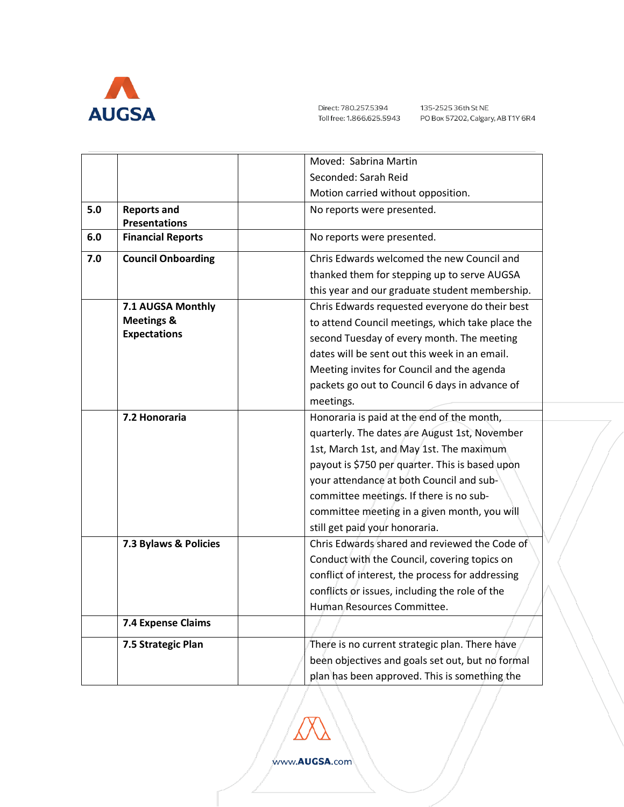

|     |                                                                   | Moved: Sabrina Martin                                                                                                                                                                                                                                                                                                                                               |
|-----|-------------------------------------------------------------------|---------------------------------------------------------------------------------------------------------------------------------------------------------------------------------------------------------------------------------------------------------------------------------------------------------------------------------------------------------------------|
|     |                                                                   | Seconded: Sarah Reid                                                                                                                                                                                                                                                                                                                                                |
|     |                                                                   | Motion carried without opposition.                                                                                                                                                                                                                                                                                                                                  |
| 5.0 | <b>Reports and</b><br><b>Presentations</b>                        | No reports were presented.                                                                                                                                                                                                                                                                                                                                          |
| 6.0 | <b>Financial Reports</b>                                          | No reports were presented.                                                                                                                                                                                                                                                                                                                                          |
| 7.0 | <b>Council Onboarding</b>                                         | Chris Edwards welcomed the new Council and<br>thanked them for stepping up to serve AUGSA<br>this year and our graduate student membership.                                                                                                                                                                                                                         |
|     | 7.1 AUGSA Monthly<br><b>Meetings &amp;</b><br><b>Expectations</b> | Chris Edwards requested everyone do their best<br>to attend Council meetings, which take place the<br>second Tuesday of every month. The meeting<br>dates will be sent out this week in an email.<br>Meeting invites for Council and the agenda<br>packets go out to Council 6 days in advance of<br>meetings.                                                      |
|     | 7.2 Honoraria                                                     | Honoraria is paid at the end of the month,<br>quarterly. The dates are August 1st, November<br>1st, March 1st, and May 1st. The maximum<br>payout is \$750 per quarter. This is based upon<br>your attendance at both Council and sub-<br>committee meetings. If there is no sub-<br>committee meeting in a given month, you will<br>still get paid your honoraria. |
|     | 7.3 Bylaws & Policies                                             | Chris Edwards shared and reviewed the Code of<br>Conduct with the Council, covering topics on<br>conflict of interest, the process for addressing<br>conflicts or issues, including the role of the<br>Human Resources Committee                                                                                                                                    |
|     | 7.4 Expense Claims                                                |                                                                                                                                                                                                                                                                                                                                                                     |
|     | 7.5 Strategic Plan                                                | There is no current strategic plan. There have<br>been objectives and goals set out, but no formal<br>plan has been approved. This is something the                                                                                                                                                                                                                 |

www.AUGSA.com

Δ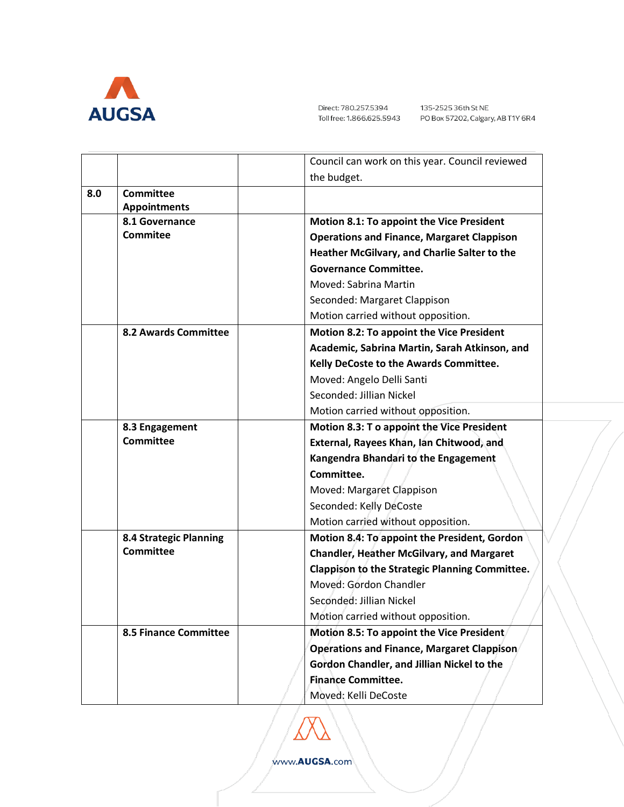

|                               | Council can work on this year. Council reviewed   |
|-------------------------------|---------------------------------------------------|
|                               | the budget.                                       |
| <b>Committee</b><br>8.0       |                                                   |
| <b>Appointments</b>           |                                                   |
| 8.1 Governance                | <b>Motion 8.1: To appoint the Vice President</b>  |
| <b>Commitee</b>               | <b>Operations and Finance, Margaret Clappison</b> |
|                               | Heather McGilvary, and Charlie Salter to the      |
|                               | <b>Governance Committee.</b>                      |
|                               | Moved: Sabrina Martin                             |
|                               | Seconded: Margaret Clappison                      |
|                               | Motion carried without opposition.                |
| <b>8.2 Awards Committee</b>   | <b>Motion 8.2: To appoint the Vice President</b>  |
|                               | Academic, Sabrina Martin, Sarah Atkinson, and     |
|                               | Kelly DeCoste to the Awards Committee.            |
|                               | Moved: Angelo Delli Santi                         |
|                               | Seconded: Jillian Nickel                          |
|                               | Motion carried without opposition.                |
| 8.3 Engagement                | Motion 8.3: To appoint the Vice President         |
| <b>Committee</b>              | External, Rayees Khan, Jan Chitwood, and          |
|                               | Kangendra Bhandari to the Engagement              |
|                               | Committee.                                        |
|                               | Moved: Margaret Clappison                         |
|                               | Seconded: Kelly DeCoste                           |
|                               | Motion carried without opposition.                |
| <b>8.4 Strategic Planning</b> | Motion 8.4: To appoint the President, Gordon      |
| <b>Committee</b>              | <b>Chandler, Heather McGilvary, and Margaret</b>  |
|                               | Clappison to the Strategic Planning Committee.    |
|                               | Moved: Gordon Chandler                            |
|                               | Seconded: Jillian Nickel                          |
|                               | Motion carried without opposition.                |
| <b>8.5 Finance Committee</b>  | Motion 8.5: To appoint the Vice President         |
|                               | Operations and Finance, Margaret Clappison        |
|                               | Gordon Chandler, and Jillian Nickel to the        |
|                               | <b>Finance Committee.</b>                         |
|                               | Moved: Kelli DeCoste                              |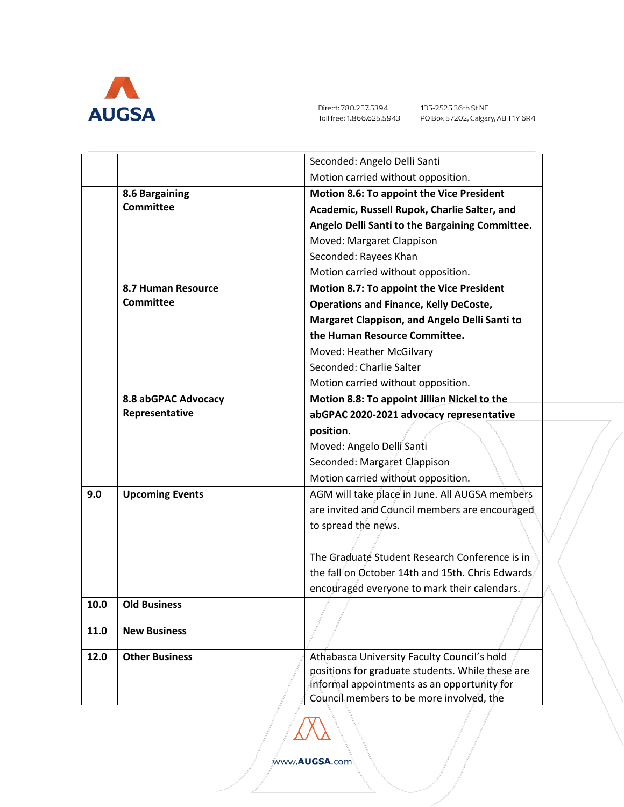

|      |                        | Seconded: Angelo Delli Santi                                                                                                                                                               |
|------|------------------------|--------------------------------------------------------------------------------------------------------------------------------------------------------------------------------------------|
|      |                        | Motion carried without opposition.                                                                                                                                                         |
|      | 8.6 Bargaining         | Motion 8.6: To appoint the Vice President                                                                                                                                                  |
|      | <b>Committee</b>       | Academic, Russell Rupok, Charlie Salter, and                                                                                                                                               |
|      |                        | Angelo Delli Santi to the Bargaining Committee.                                                                                                                                            |
|      |                        | Moved: Margaret Clappison                                                                                                                                                                  |
|      |                        | Seconded: Rayees Khan                                                                                                                                                                      |
|      |                        | Motion carried without opposition.                                                                                                                                                         |
|      | 8.7 Human Resource     | Motion 8.7: To appoint the Vice President                                                                                                                                                  |
|      | <b>Committee</b>       | <b>Operations and Finance, Kelly DeCoste,</b>                                                                                                                                              |
|      |                        | Margaret Clappison, and Angelo Delli Santi to                                                                                                                                              |
|      |                        | the Human Resource Committee.                                                                                                                                                              |
|      |                        | Moved: Heather McGilvary                                                                                                                                                                   |
|      |                        | Seconded: Charlie Salter                                                                                                                                                                   |
|      |                        | Motion carried without opposition.                                                                                                                                                         |
|      | 8.8 abGPAC Advocacy    | Motion 8.8: To appoint Jillian Nickel to the                                                                                                                                               |
|      | Representative         | abGPAC 2020-2021 advocacy representative                                                                                                                                                   |
|      |                        | position.                                                                                                                                                                                  |
|      |                        | Moved: Angelo Delli Santi                                                                                                                                                                  |
|      |                        | Seconded: Margaret Clappison                                                                                                                                                               |
|      |                        | Motion carried without opposition.                                                                                                                                                         |
| 9.0  | <b>Upcoming Events</b> | AGM will take place in June. All AUGSA members                                                                                                                                             |
|      |                        | are invited and Council members are encouraged                                                                                                                                             |
|      |                        | to spread the news.                                                                                                                                                                        |
|      |                        |                                                                                                                                                                                            |
|      |                        | The Graduate Student Research Conference is in                                                                                                                                             |
|      |                        | the fall on October 14th and 15th. Chris Edwards                                                                                                                                           |
|      |                        | encouraged everyone to mark their calendars.                                                                                                                                               |
| 10.0 | <b>Old Business</b>    |                                                                                                                                                                                            |
| 11.0 | <b>New Business</b>    |                                                                                                                                                                                            |
| 12.0 | <b>Other Business</b>  | Athabasca University Faculty Council's hold<br>positions for graduate students. While these are<br>informal appointments as an opportunity for<br>Council members to be more involved, the |